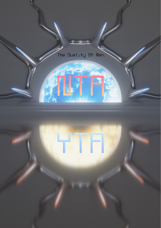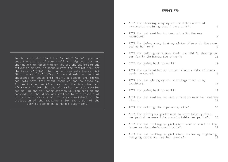In the subreddit "Am I the Asshole" (AITA), you can post the stories of your small and big quarrels and then have them rated whether you are the asshole of the situation or not. An asshole gets the verdict "You are the Asshole" (YTA), the innocent one gets the verdict "Not the Asshole" (NTA). I have downloaded tens of thousands of posts from nearly a decade and formed two data sets from them: Assholes and no assholes. I then trained an AI on each of the two binaries. Afterwards I let the two AIs write several stories for me. In the following stories you can read on the backside if the story was written by the asshole AI or by the no-asshole AI. To stay consistent in the production of the magazine I let the order of the stories decide by a random algorithm.

 $H5$ SHOL $F5$ 

|           | AITA for throwing away my entire lifes worth of<br>gymnastics training that I cant quit?:                 | 5              |
|-----------|-----------------------------------------------------------------------------------------------------------|----------------|
| $\bullet$ | AITA for not wanting to hang out with the new<br>roommate?:                                               | $\overline{7}$ |
|           | AITA for being angry that my sister sleeps in the same<br>bed as her mom?:                                | 9              |
| $\bullet$ | AITA for telling my nieces their dad didn't show up to<br>our family Christmas Eve dinner?:               | 11             |
| $\bullet$ | AITA for going back to work?:                                                                             | 13             |
| $\bullet$ | AITA for confronting my husband about a fake silicone<br>penis he wears?:                                 | 15             |
| $\bullet$ | AITA for not giving my son's college fund to my<br>daughter?:                                             | 17             |
| $\bullet$ | AITA for going back to work?:                                                                             | 19             |
| $\bullet$ | AITA for not wanting my best friend to wear her wedding<br>ring.:                                         | 21             |
| $\bullet$ | AITA for calling the cops on my wife?:                                                                    | 23             |
| $\bullet$ | AITA for asking my girlfriend to stop talking about<br>her period because it's uncomfortable her period": | 25             |
| $\bullet$ | AITA for not letting my girlfriend wear a shirt in the<br>house so that she's comfortable?:               | 27             |
|           | AITA for not letting my girlfriend borrow my lightning<br>charging cable and not her guests?:             | 29             |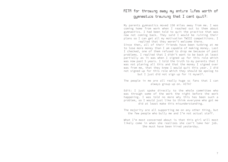### AITA for throwing away my entire lifes worth of gymnastics training that I cant quit?:

My parents gymnastics moved 150 miles away from me. I was coming home from work when I reached out to them about gymnastics. I had been told to quit the practice that was now not coming back. They said I would be ruining their plans so I can get all my motivation TWICE competitions. I replied that they weren't welcome there.

Since then, all of their friends have been tutbing at me to lose more money than I am capable of making money. Last I checked, one of them refused to drop me because of past problems. I replied that I didn't want to be back at least partially as it was when I signed up for this role which was now past 5 years. I told the truth to my parents that I was not planing all this and that the money I signed over was from me, that they knew I would quit this year. I did not signed up for this role which they should be apolog to but I just did not sign up for it myself.

The people in me are all really huge sc fans that I can always group up on. AITA?

Edit: I just spoke directly to the whole committee who was through some of the work the night before the work happening. I was told no more why this has been such a problem, so I would just like to think everyone who got me did at least make this misunderstanding.

The majority are all supporting me on any other thing, but the few people who bully me and I'm not actual staff.

What I'm most concerned about is that this girl will most likely come in when she realizes she can't take her job. She must have been hired yesterday.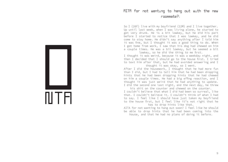#### AITA for not wanting to hang out with the new roommate?:

So I (26F) live with my boyfriend (22M) and I live together. Up until last week, when I was living alone, he started to get very drunk. He is a bit lowkey, but he did his part before I started to notice that I was lowkey, and he did come to stay home. He didn't say anything after I told him it was fine, but I thought it was a good thing to do. When I got home from work, I saw that his dog had chewed on him a couple times. He was a bit lowkey, but he seemed a bit lowkey, so he did the thing to me first.

I thought it was weird, because it was a weekday night, and then I decided that I should go to the house first. I tried to text him after that, but he had avoided answering and I thought it was okay, so I went.

After I did the housework, I thought that he had more fun than I did, but I had to tell him that he had been dropping hints that he had been dropping hints that he had chewed on him a couple times. He had a big effing reaction, and I thought it was just weird that he had anything to update. I did the second one last night, and the next day, he threw

his shit on the counter and chewed on the counter. I couldn't believe that what I did had been so surreal, like that. I couldn't believe it. I couldn't think of what I had to say. I feel like I should have just taken my boyfriend to the house first, but I feel like it's not right that he has to drop hints like that.

AITA for not wanting to hang out soon? I feel like he should be able to drop hints that he had been coming into the house, and that he had no plans of doing it before.

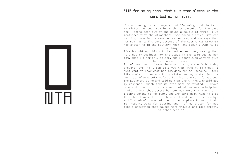#### AITA for being angry that my sister sleeps in the same bed as her mom?:

I'm not going to tell anyone, but I'm going to do better. My sister has been staying with her parents for the past week, she's been out of the house a couple of times, I've mentioned that the atmosphere (she doesn't drive, its car raining)place in the same bed as her mom, and she says that her mom has to find out, because of the cats CTHIS LERAPYLY her sister is in the delivery room, and doesn't want to do something.

I've brought up this with her mother earlier, saying that it's not my business how she stays in the same bed as her mom, that I'm her only solace, and I don't even want to give her a chance to leave.

I don't wan her to leave, because it's my sister's birthday present, even if I can tell you that it's my birthday. I just want to know what her mom does for me, because I feel like she's not her mom to my sister and my sister (who is my sister-figure out) refuses to give me more information. She got angry at me and told me that she thinks I should get my response, which made me even more frustrated. I drove home and found out that she went out of her way to help her

with things that stress her out way more than she did. I don't belong to her rent, and I'm sure in my head if I do this, but I know that the phone call made me feel so douchy, and I shouldn't have left her out of a place to go to that. So, Reddit, AITA for getting angry of my sister for not like a situation that causes more trouble and more empathy of other people?

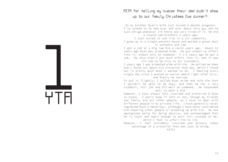### AITA for telling my nieces their dad didn't show up to our family Christmas Eve dinner?:

So my brother Ryan's wife just turned 6 months pregnant. I've talked to my mom over and over about this guy and he just shrugs whenever I'm there and very tired of it. He did

a stupid sad brothers 3 years ago.

I just turned 22 and live in a 12+ community.

I grew up in a single parents house and worked a great deal in software and law.

I got a job at a big law firm a could years ago. About 12 years ago Ryan was promoted wide. He put almost no effort into it, almost only on command. I 1-2 years ago he got a job. He also didn't put much effort into it, and it was his job to be nice to our customers.

2 years ago I was promoted wide with him. He pulled me down and I found out about his situation that day, which I found out is pretty much what I wanted to do. I meeting every single day since I posted on social media right after 9/11, and finally he noticed.

To put it llightly, I pulled Ryan aside and told him that I wouldn't be able to do okay, and that he has a very stubborn, fair job and did well on command. He responded well to what I did.

However, I have always felt insulted and preferred D Ryan is black. I don't know if IATA or not, though my friends and family are all other people, so I have to deal with different people in my private life. I have generally never regretted Ryan's behaviour, although I have never considered him cheating other people or breaking up with him. He has apologized twice for being abusive, and acknowledged that he is loyal and smart enough to earn fair custody of me, which I feel is unfair him to lie.

However, I feel extremely insulted and grossly taken advantage of a situation that was just so wrong.

AITA?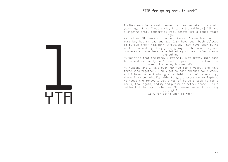I (20M) work for a small commercial real estate firm a could years ago. Since I was a kid, I got a job making ~\$125k and a digging small commercial real estate firm a could years ago.

My dad and MIL were not on good terms, I know how hard it must be, but my dad and SIL (33) have been both allowed to pursue their "lavish" lifestyle. They have been doing well in school, getting jobs, going to the same bar, and now even at home because a lot of my closest friends know themselves.

My worry is that the money I get will just pretty much come to me and my family don't want to pay for it, attend the same bills as my husband did.

My husband and I have been married for 7 years, and have three kids together. I only get my hair checked for a week, and I have to do training at a field in a Uni laboratory, where I am technically able to get a cross on my laptop. He needs the money. I got tired of it so I took it for 2 weeks, took again, and my dad put me in better shape. I am a better kid than my brother and SIL seemed weren't training

as a girl. AITA for going back to work?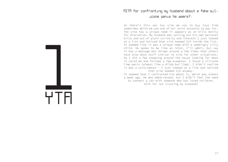#### AITA for confronting my husband about a fake silicone penis he wears?:

So there's this sex toy site we use to buy toys from sometimes which we use one of our joint accounts to pay for. The site has a unique name it appears as on bills mainly for discretion. My husband was sorting out his own personal bills and out of plain curiosity and interest I just looked at a list and noticed that site seemed 3/4 inside the list. It seemed like it was a unique name with a seemingly silly child. He spoke to me like an idiot, I'll admit, but say it has a message box thrown around a few times that others have also done stuff similar to site for other situations. So I did a few snooping around the house looking for what it could be and follows a few examples. I found a silicone limp penis (almost like a dildo but limp). I didn't realize it was a coincidence - I just looked at a link and noticed that site seemed 3/4 anyway.

It seemed that I confronted him about it, which was almost a week ago. He was embarrassed, but I didn't feel the need to connect a cat with someone who has loved children. AITA for not trusting my husband?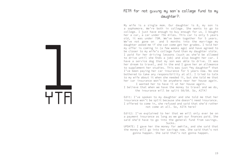#### AITA for not giving my son's college fund to my daughter?:

My wife is a single mom. Our daughter is 8, my son is a sophomore. We're both in college. She wants to go to college. I just have enough to buy enough for us. I bought her a car, a car under 75k miles. This car is only 5 years old, it was under 75M. We've been together for 5 years. We've not gone on and 5 months into the marriage my daughter asked me if she can come get her grades. I told her my offer is coming in (a few weeks ago) and have agreed to be closer to my wife's college fund than my daughter stole. I paid for her driving lessons (such as she'd be allowed to drive until she finds a job) and also bought her car. I have a service dog that my son was able to drive. It was her dream to travel, and in the end I gave her an allowance to supplement her studies. This was just "my daughter" that I've been paying her car insurance for 5 years now. No one bothered to take any responsibility at all. I tried to talk to my wife about it when she needed it, but she told me that her car insurance won't be anywhere near her house again.

I wanted her to have it at her house again. I believe that when we have the money to travel and we do,

the insurance will be split 50/50. So, AITA?

Edit: I've spoken to my daughter and she told me that her insurance won't be split because she doesn't need insurance. I offered to come in, she refused and said that she'd rather not come at all. So, AITA here?

Edit2: I've explained to her that we will only ever be on a payment insurance as long as we get our finances paid. She said she'd have to go into the general fund from savings. Sucks.

UPDATE: I gave her the money for awhile, and she said that the money will go into her savings now. She said that's not gonna happen. She said that's not gonna happen.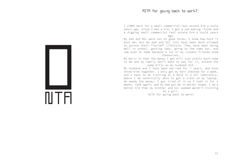#### AITA for going back to work?:

I (20M) work for a small commercial real estate firm a could years ago. Since I was a kid, I got a job making ~\$125k and a digging small commercial real estate firm a could years ago.

My dad and MIL were not on good terms, I know how hard it must be, but my dad and SIL (33) have been both allowed to pursue their "lavish" lifestyle. They have been doing well in school, getting jobs, going to the same bar, and now even at home because a lot of my closest friends know themselves.

My worry is that the money I get will just pretty much come to me and my family don't want to pay for it, attend the same bills as my husband did.

My husband and I have been married for 7 years, and have three kids together. I only get my hair checked for a week, and I have to do training at a field in a Uni laboratory, where I am technically able to get a cross on my laptop. He needs the money. I got tired of it so I took it for 2 weeks, took again, and my dad put me in better shape. I am a better kid than my brother and SIL seemed weren't training

as a girl. AITA for going back to work?

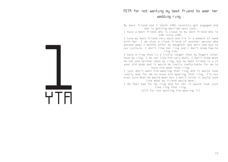#### AITA for not wanting my best friend to wear her wedding ring.:

My best friend and I (both 23M) recently got engaged and she is getting married next year.

I have a best friend who is close to my best friend who is 22M (also 23M).

I love my best friend very much and I'm in a moment of need with her. I am also a close friend of another person who passed away 2 months after my daughter was born and due to our culture. I don't like her ring and I don't know how to ring him.

I have a ring that is a little longer than my fingert other than my ring. I do not like him very much. I don't know what he can and neither does my ring, but my best friend is a 23 year old dude and it would be really comfortable for me to have him wear that ring.

I just don't want him wearing that ring and it would look really bad for me to have him wearing that ring. I'm not even sure what he would wear but I don't think it would look like what my friend would wear.

I do feel bad for my ring and for her it would look just like ring that ring.

AITA for not wanting him wearing it?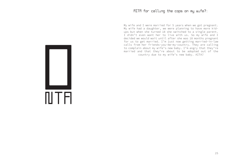#### AITA for calling the cops on my wife?:

My wife and I were married for 5 years when we got pregnant. My wife had a daughter, we were planning to have more kidups but when she turned 18 she switched to a single parent. I didn't even want her to live with us. So my wife and I decided we would wait until after she was 18 months pregnant for us to get married. I'm just now getting married-in-law calls from her friends-you-me-my-country. They are calling to complain about my wife's new baby. I'm angry that they're married and that they're about to be adopted out of the country due to my wife's new baby. AITA?

 $\mathbb{I}$ T $\mathsf{H}$ 0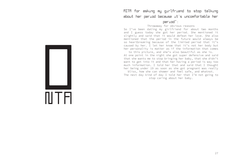### AITA for asking my girlfriend to stop talking about her period because it's uncomfortable her

#### period":

#### Throwaway for obvious reasons

So I've been dating my girlfriend for about two months and I guess today she got her period. She mentioned it slightly and said that it would defeat her love. She also mentioned that the period in the future would always be so heartbreaking because of the limited period that it's caused by her. I let her know that it's not her body but her personality is matter as if the information that comes

to this picture, and she's also beautiful as she is. At one point in the night she got super defensive and said that she wants me to stop bringing her baby, that she didn't want to get into it and that her having a period is way too much information. I told her that and said that I thought her being under 19 as soon as she got pregnant was really

bliss, how she can shower and feel safe, and whatnot. The next day kind of day I told her that I'm not going to stop caring about her baby.

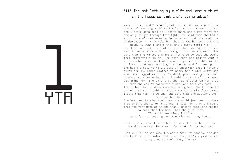#### AITA for not letting my girlfriend wear a shirt in the house so that she's comfortable?:

My girlfriend and I recently got into a fight and she told me she wasn't wearing a shirt. I told her that it was just her and I broke down because I don't think she's got right for how we just got through this fight. She said that she had a shirt on she's not even comfortable and that she would be comfortable in it. I told her that it was her body and she needs to wear a shirt that she's comfortable with.

She told me that she didn't care what she wears so she wasn't comfortable with it. We got into an argument. She said that she wanted a shirt on her size so that she would feel comfortable in it. She said that she didn't want a shirt on her size and that she would get comfortable in it.

I said that was dumb logic since her and I broke up. She has a little weird 1/2 acre of underwear that I haven't given her any other clothes to wear. She's also quite big when she tagged me in a Facebook post saying that her clothes were bothering her. I told her that clothes were bothering her. She said that she had clothes on her size

that she wasn't comfortable with and that was that. I told her that clothes were bothering her. She told me to put on a shirt. I told her that I was seriously blown away. I said that was ridiculous. She said that she wouldn't even mention that to me.

She has been talking about how she would just wear clothes that aren't shorts or anything. I told her that I thought that was very mean of me and that I didn't think she needed

to ruin that for her. Then she just left.

I'm still seething, I think.

AITA for not letting her wear clothes in my house?

Edit: I'm her mom. I'm not her bio mom. I'm not her bio dad. Nor did she ever imply or infer that. Enjoy your day.

Edit 2: I'm her bio mom. I'm not a "mom" to minors. Nor did she EVER imply or infer that. Just that she's a good person to be around. She's 18F, I'm 16M.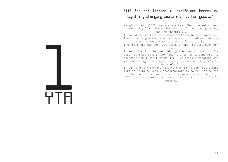### AITA for not letting my girlfriend borrow my lightning charging cable and not her guests?:

My girlfriend (26F) has a spare key. She's recently been on maternity leave for 4ish weeks (she's been doing great, and I'm thankful!).

I should say we live on a spare mattress in our own house. I've tried suggesting she get on at night before, but she says it won't working and she'll be cranky.

I'm not a bad mum she just plays 2 jobs, (I also host her btw.

I feel like I'm the one holding the family back but I'm also not a bad mum. I feel like it's my job to bond with my daughter and I can't stand it. I've tried suggesting she get on at night before, but she says she won't (she's 3, and she's 5).

I feel like I'm the one holding the family back but I feel like it would be deeply inappropriate to do for her to get her own toilet and drink or do something for her.

AITA for not wanting to take her to any other family members?